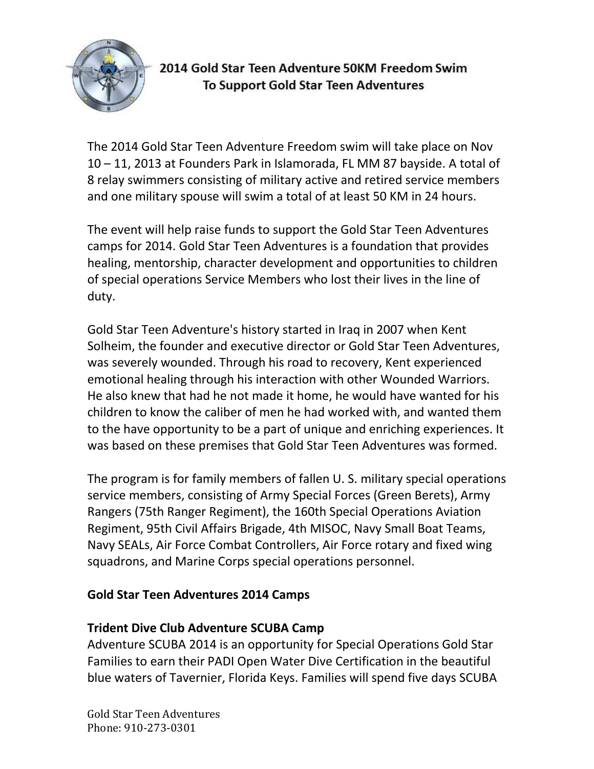

# 2014 Gold Star Teen Adventure 50KM Freedom Swim **To Support Gold Star Teen Adventures**

The 2014 Gold Star Teen Adventure Freedom swim will take place on Nov 10 – 11, 2013 at Founders Park in Islamorada, FL MM 87 bayside. A total of 8 relay swimmers consisting of military active and retired service members and one military spouse will swim a total of at least 50 KM in 24 hours.

The event will help raise funds to support the Gold Star Teen Adventures camps for 2014. Gold Star Teen Adventures is a foundation that provides healing, mentorship, character development and opportunities to children of special operations Service Members who lost their lives in the line of duty.

Gold Star Teen Adventure's history started in Iraq in 2007 when Kent Solheim, the founder and executive director or Gold Star Teen Adventures, was severely wounded. Through his road to recovery, Kent experienced emotional healing through his interaction with other Wounded Warriors. He also knew that had he not made it home, he would have wanted for his children to know the caliber of men he had worked with, and wanted them to the have opportunity to be a part of unique and enriching experiences. It was based on these premises that Gold Star Teen Adventures was formed.

The program is for family members of fallen U. S. military special operations service members, consisting of Army Special Forces (Green Berets), Army Rangers (75th Ranger Regiment), the 160th Special Operations Aviation Regiment, 95th Civil Affairs Brigade, 4th MISOC, Navy Small Boat Teams, Navy SEALs, Air Force Combat Controllers, Air Force rotary and fixed wing squadrons, and Marine Corps special operations personnel.

### **Gold Star Teen Adventures 2014 Camps**

#### **Trident Dive Club Adventure SCUBA Camp**

Adventure SCUBA 2014 is an opportunity for Special Operations Gold Star Families to earn their PADI Open Water Dive Certification in the beautiful blue waters of Tavernier, Florida Keys. Families will spend five days SCUBA